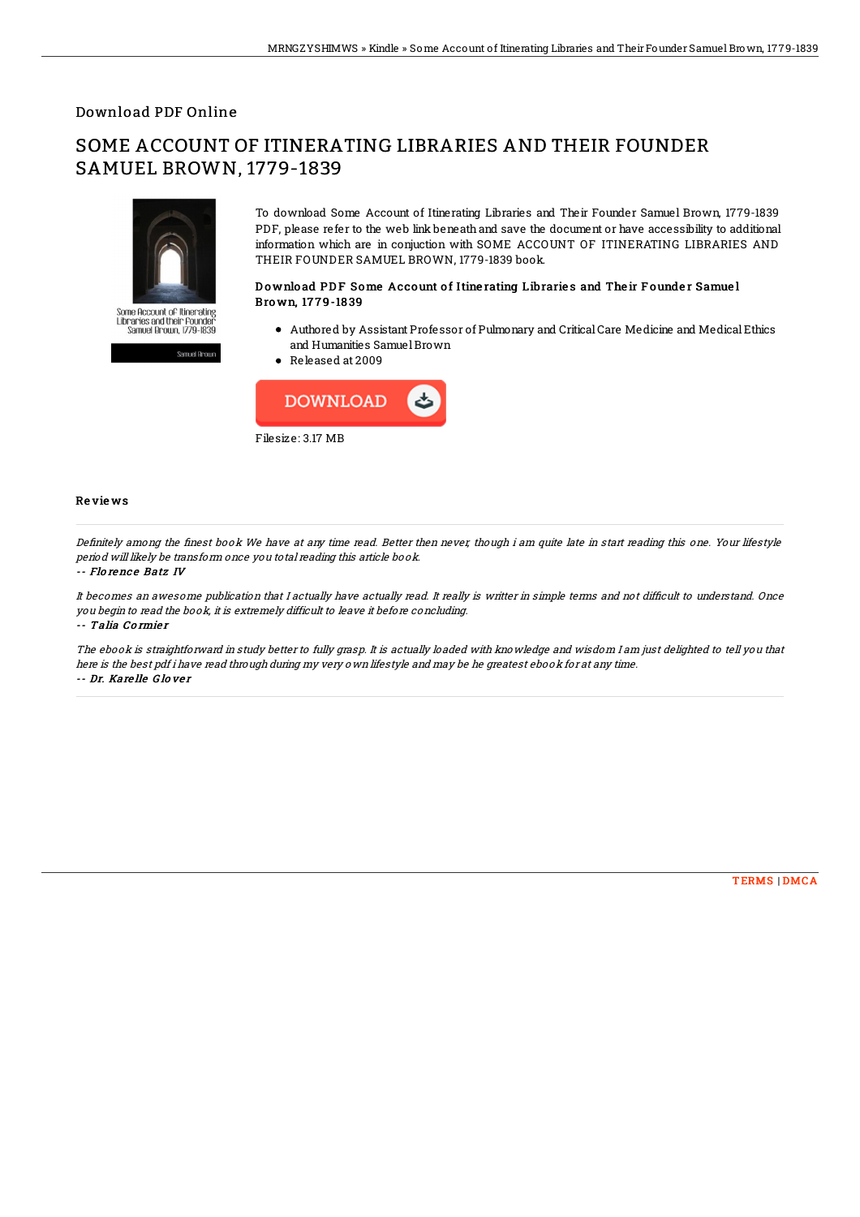### Download PDF Online

# SOME ACCOUNT OF ITINERATING LIBRARIES AND THEIR FOUNDER SAMUEL BROWN, 1779-1839



To download Some Account of Itinerating Libraries and Their Founder Samuel Brown, 1779-1839 PDF, please refer to the web link beneath and save the document or have accessibility to additional information which are in conjuction with SOME ACCOUNT OF ITINERATING LIBRARIES AND THEIR FOUNDER SAMUEL BROWN, 1779-1839 book.

#### Download PDF Some Account of Itine rating Libraries and Their Founder Samuel Bro wn, 17 7 9-18 39

- Authored by Assistant Professor of Pulmonary and CriticalCare Medicine and MedicalEthics and Humanities SamuelBrown
- Released at 2009



#### Re vie ws

Definitely among the finest book We have at any time read. Better then never, though i am quite late in start reading this one. Your lifestyle period will likely be transform once you total reading this article book.

#### -- Florence Batz IV

It becomes an awesome publication that I actually have actually read. It really is writter in simple terms and not difficult to understand. Once you begin to read the book, it is extremely difficult to leave it before concluding. -- Talia Co rmie <sup>r</sup>

The ebook is straightforward in study better to fully grasp. It is actually loaded with knowledge and wisdom I am just delighted to tell you that here is the best pdf i have read through during my very own lifestyle and may be he greatest ebook for at any time. -- Dr. Kare lle G lo ve <sup>r</sup>